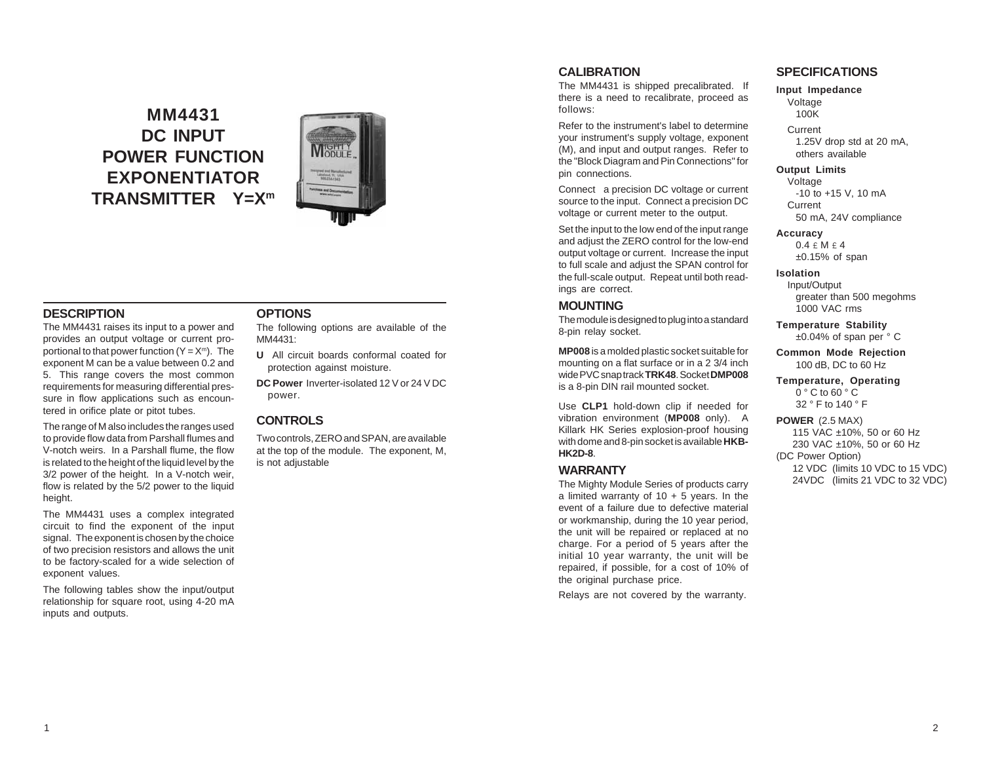# **MM4431 DC INPUT POWER FUNCTION EXPONENTIATOR TRANSMITTER Y=Xm**



#### **DESCRIPTION**

The MM4431 raises its input to a power and provides an output voltage or current proportional to that power function  $(Y = X<sup>m</sup>)$ . The exponent M can be a value between 0.2 and 5. This range covers the most common requirements for measuring differential pressure in flow applications such as encountered in orifice plate or pitot tubes.

The range of M also includes the ranges used to provide flow data from Parshall flumes and V-notch weirs. In a Parshall flume, the flow is related to the height of the liquid level by the 3/2 power of the height. In a V-notch weir, flow is related by the 5/2 power to the liquid height.

The MM4431 uses a complex integrated circuit to find the exponent of the input signal. The exponent is chosen by the choice of two precision resistors and allows the unit to be factory-scaled for a wide selection of exponent values.

The following tables show the input/output relationship for square root, using 4-20 mA inputs and outputs.

#### **OPTIONS**

The following options are available of the MM4431:

**U** All circuit boards conformal coated for protection against moisture.

**DC Power** Inverter-isolated 12 V or 24 V DC power.

## **CONTROLS**

Two controls, ZERO and SPAN, are available at the top of the module. The exponent, M, is not adjustable

## **CALIBRATION**

The MM4431 is shipped precalibrated. If there is a need to recalibrate, proceed as follows:

Refer to the instrument's label to determine your instrument's supply voltage, exponent (M), and input and output ranges. Refer to the "Block Diagram and Pin Connections" for pin connections.

Connect a precision DC voltage or current source to the input. Connect a precision DC voltage or current meter to the output.

Set the input to the low end of the input range and adjust the ZERO control for the low-end output voltage or current. Increase the input to full scale and adjust the SPAN control for the full-scale output. Repeat until both readings are correct.

#### **MOUNTING**

The module is designed to plug into a standard 8-pin relay socket.

**MP008** is a molded plastic socket suitable for mounting on a flat surface or in a 2 3/4 inch wide PVC snap track **TRK48**. Socket **DMP008** is a 8-pin DIN rail mounted socket.

Use **CLP1** hold-down clip if needed for vibration environment (**MP008** only). A Killark HK Series explosion-proof housing with dome and 8-pin socket is available **HKB-HK2D-8**.

### **WARRANTY**

The Mighty Module Series of products carry a limited warranty of  $10 + 5$  years. In the event of a failure due to defective material or workmanship, during the 10 year period, the unit will be repaired or replaced at no charge. For a period of 5 years after the initial 10 year warranty, the unit will be repaired, if possible, for a cost of 10% of the original purchase price.

Relays are not covered by the warranty.

#### **SPECIFICATIONS**

**Input Impedance** Voltage 100K Current

1.25V drop std at 20 mA, others available

**Output Limits**

Voltage -10 to +15 V, 10 mA **Current** 50 mA, 24V compliance

#### **Accuracy**

 $0.4 \text{ } \in \mathsf{M} \in 4$  $±0.15%$  of span

#### **Isolation**

Input/Output greater than 500 megohms 1000 VAC rms

**Temperature Stability** ±0.04% of span per ° C

**Common Mode Rejection** 100 dB, DC to 60 Hz

**Temperature, Operating** 0 ° C to 60 ° C 32 ° F to 140 ° F

#### **POWER** (2.5 MAX)

115 VAC ±10%, 50 or 60 Hz 230 VAC ±10%, 50 or 60 Hz (DC Power Option) 12 VDC (limits 10 VDC to 15 VDC) 24VDC (limits 21 VDC to 32 VDC)